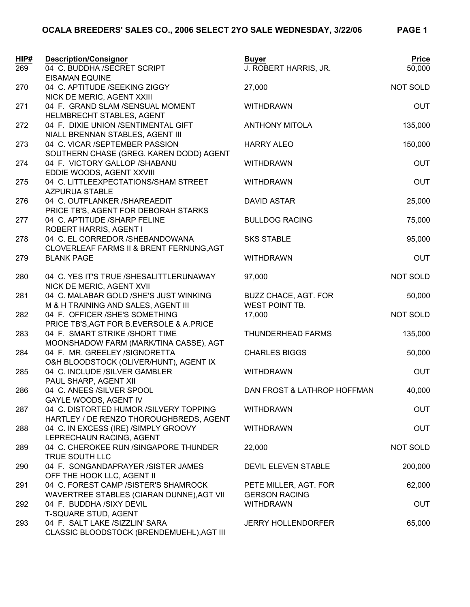| HIP# | <b>Description/Consignor</b>                                                 | <b>Buyer</b>                | <b>Price</b> |
|------|------------------------------------------------------------------------------|-----------------------------|--------------|
| 269  | 04 C. BUDDHA /SECRET SCRIPT                                                  | J. ROBERT HARRIS, JR.       | 50,000       |
|      | <b>EISAMAN EQUINE</b>                                                        |                             |              |
| 270  | 04 C. APTITUDE /SEEKING ZIGGY                                                | 27,000                      | NOT SOLD     |
|      | NICK DE MERIC, AGENT XXIII                                                   |                             |              |
| 271  | 04 F. GRAND SLAM /SENSUAL MOMENT                                             | <b>WITHDRAWN</b>            | <b>OUT</b>   |
| 272  | HELMBRECHT STABLES, AGENT<br>04 F. DIXIE UNION /SENTIMENTAL GIFT             | <b>ANTHONY MITOLA</b>       | 135,000      |
|      | NIALL BRENNAN STABLES, AGENT III                                             |                             |              |
| 273  | 04 C. VICAR /SEPTEMBER PASSION                                               | <b>HARRY ALEO</b>           | 150,000      |
|      | SOUTHERN CHASE (GREG. KAREN DODD) AGENT                                      |                             |              |
| 274  | 04 F. VICTORY GALLOP /SHABANU                                                | <b>WITHDRAWN</b>            | <b>OUT</b>   |
|      | EDDIE WOODS, AGENT XXVIII                                                    |                             |              |
| 275  | 04 C. LITTLEEXPECTATIONS/SHAM STREET                                         | <b>WITHDRAWN</b>            | <b>OUT</b>   |
|      | <b>AZPURUA STABLE</b>                                                        |                             |              |
| 276  | 04 C. OUTFLANKER /SHAREAEDIT                                                 | <b>DAVID ASTAR</b>          | 25,000       |
|      | PRICE TB'S, AGENT FOR DEBORAH STARKS                                         |                             |              |
| 277  | 04 C. APTITUDE /SHARP FELINE                                                 | <b>BULLDOG RACING</b>       | 75,000       |
|      | ROBERT HARRIS, AGENT I                                                       | <b>SKS STABLE</b>           |              |
| 278  | 04 C. EL CORREDOR / SHEBANDOWANA<br>CLOVERLEAF FARMS II & BRENT FERNUNG, AGT |                             | 95,000       |
| 279  | <b>BLANK PAGE</b>                                                            | <b>WITHDRAWN</b>            | <b>OUT</b>   |
|      |                                                                              |                             |              |
| 280  | 04 C. YES IT'S TRUE /SHESALITTLERUNAWAY                                      | 97,000                      | NOT SOLD     |
|      | NICK DE MERIC, AGENT XVII                                                    |                             |              |
| 281  | 04 C. MALABAR GOLD /SHE'S JUST WINKING                                       | BUZZ CHACE, AGT. FOR        | 50,000       |
|      | M & H TRAINING AND SALES, AGENT III                                          | WEST POINT TB.              |              |
| 282  | 04 F. OFFICER /SHE'S SOMETHING                                               | 17,000                      | NOT SOLD     |
|      | PRICE TB'S, AGT FOR B.EVERSOLE & A.PRICE                                     |                             |              |
| 283  | 04 F. SMART STRIKE /SHORT TIME                                               | THUNDERHEAD FARMS           | 135,000      |
| 284  | MOONSHADOW FARM (MARK/TINA CASSE), AGT<br>04 F. MR. GREELEY /SIGNORETTA      | <b>CHARLES BIGGS</b>        | 50,000       |
|      | O&H BLOODSTOCK (OLIVER/HUNT), AGENT IX                                       |                             |              |
| 285  | 04 C. INCLUDE /SILVER GAMBLER                                                | <b>WITHDRAWN</b>            | <b>OUT</b>   |
|      | PAUL SHARP, AGENT XII                                                        |                             |              |
| 286  | 04 C. ANEES /SILVER SPOOL                                                    | DAN FROST & LATHROP HOFFMAN | 40,000       |
|      | GAYLE WOODS, AGENT IV                                                        |                             |              |
| 287  | 04 C. DISTORTED HUMOR /SILVERY TOPPING                                       | <b>WITHDRAWN</b>            | <b>OUT</b>   |
|      | HARTLEY / DE RENZO THOROUGHBREDS, AGENT                                      |                             |              |
| 288  | 04 C. IN EXCESS (IRE) /SIMPLY GROOVY                                         | <b>WITHDRAWN</b>            | <b>OUT</b>   |
|      | LEPRECHAUN RACING, AGENT                                                     |                             |              |
| 289  | 04 C. CHEROKEE RUN /SINGAPORE THUNDER<br>TRUE SOUTH LLC                      | 22,000                      | NOT SOLD     |
| 290  | 04 F. SONGANDAPRAYER /SISTER JAMES                                           | DEVIL ELEVEN STABLE         | 200,000      |
|      | OFF THE HOOK LLC, AGENT II                                                   |                             |              |
| 291  | 04 C. FOREST CAMP /SISTER'S SHAMROCK                                         | PETE MILLER, AGT. FOR       | 62,000       |
|      | WAVERTREE STABLES (CIARAN DUNNE), AGT VII                                    | <b>GERSON RACING</b>        |              |
| 292  | 04 F. BUDDHA /SIXY DEVIL                                                     | <b>WITHDRAWN</b>            | <b>OUT</b>   |
|      | T-SQUARE STUD, AGENT                                                         |                             |              |
| 293  | 04 F. SALT LAKE /SIZZLIN' SARA                                               | <b>JERRY HOLLENDORFER</b>   | 65,000       |
|      | CLASSIC BLOODSTOCK (BRENDEMUEHL), AGT III                                    |                             |              |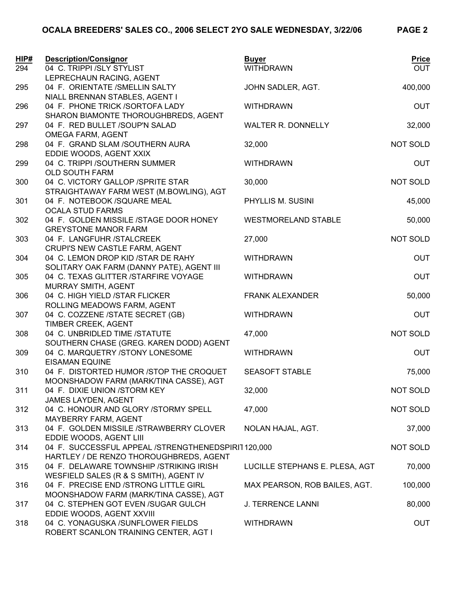| HIP# | <b>Description/Consignor</b>                                                    | <b>Buyer</b>                   | <b>Price</b> |
|------|---------------------------------------------------------------------------------|--------------------------------|--------------|
| 294  | 04 C. TRIPPI /SLY STYLIST                                                       | <b>WITHDRAWN</b>               | <b>OUT</b>   |
|      | LEPRECHAUN RACING, AGENT                                                        |                                |              |
| 295  | 04 F. ORIENTATE /SMELLIN SALTY                                                  | JOHN SADLER, AGT.              | 400,000      |
|      | NIALL BRENNAN STABLES, AGENT I<br>04 F. PHONE TRICK /SORTOFA LADY               | <b>WITHDRAWN</b>               | <b>OUT</b>   |
| 296  | SHARON BIAMONTE THOROUGHBREDS, AGENT                                            |                                |              |
| 297  | 04 F. RED BULLET /SOUP'N SALAD                                                  | <b>WALTER R. DONNELLY</b>      | 32,000       |
|      | OMEGA FARM, AGENT                                                               |                                |              |
| 298  | 04 F. GRAND SLAM /SOUTHERN AURA                                                 | 32,000                         | NOT SOLD     |
|      | EDDIE WOODS, AGENT XXIX                                                         |                                |              |
| 299  | 04 C. TRIPPI /SOUTHERN SUMMER                                                   | <b>WITHDRAWN</b>               | <b>OUT</b>   |
|      | <b>OLD SOUTH FARM</b>                                                           |                                |              |
| 300  | 04 C. VICTORY GALLOP /SPRITE STAR                                               | 30,000                         | NOT SOLD     |
|      | STRAIGHTAWAY FARM WEST (M.BOWLING), AGT                                         |                                |              |
| 301  | 04 F. NOTEBOOK /SQUARE MEAL                                                     | PHYLLIS M. SUSINI              | 45,000       |
|      | <b>OCALA STUD FARMS</b>                                                         |                                |              |
| 302  | 04 F. GOLDEN MISSILE /STAGE DOOR HONEY                                          | <b>WESTMORELAND STABLE</b>     | 50,000       |
|      | <b>GREYSTONE MANOR FARM</b>                                                     |                                |              |
| 303  | 04 F. LANGFUHR /STALCREEK                                                       | 27,000                         | NOT SOLD     |
|      | CRUPI'S NEW CASTLE FARM, AGENT                                                  |                                |              |
| 304  | 04 C. LEMON DROP KID / STAR DE RAHY                                             | <b>WITHDRAWN</b>               | <b>OUT</b>   |
|      | SOLITARY OAK FARM (DANNY PATE), AGENT III                                       |                                |              |
| 305  | 04 C. TEXAS GLITTER /STARFIRE VOYAGE                                            | <b>WITHDRAWN</b>               | <b>OUT</b>   |
|      | MURRAY SMITH, AGENT                                                             |                                |              |
| 306  | 04 C. HIGH YIELD /STAR FLICKER<br>ROLLING MEADOWS FARM, AGENT                   | <b>FRANK ALEXANDER</b>         | 50,000       |
| 307  | 04 C. COZZENE /STATE SECRET (GB)                                                | <b>WITHDRAWN</b>               | <b>OUT</b>   |
|      | TIMBER CREEK, AGENT                                                             |                                |              |
| 308  | 04 C. UNBRIDLED TIME /STATUTE                                                   | 47,000                         | NOT SOLD     |
|      | SOUTHERN CHASE (GREG. KAREN DODD) AGENT                                         |                                |              |
| 309  | 04 C. MARQUETRY /STONY LONESOME                                                 | <b>WITHDRAWN</b>               | <b>OUT</b>   |
|      | <b>EISAMAN EQUINE</b>                                                           |                                |              |
| 310  | 04 F. DISTORTED HUMOR /STOP THE CROQUET                                         | <b>SEASOFT STABLE</b>          | 75,000       |
|      | MOONSHADOW FARM (MARK/TINA CASSE), AGT                                          |                                |              |
| 311  | 04 F. DIXIE UNION / STORM KEY                                                   | 32,000                         | NOT SOLD     |
|      | JAMES LAYDEN, AGENT                                                             |                                |              |
| 312  | 04 C. HONOUR AND GLORY /STORMY SPELL                                            | 47,000                         | NOT SOLD     |
|      | MAYBERRY FARM, AGENT                                                            |                                |              |
| 313  | 04 F. GOLDEN MISSILE /STRAWBERRY CLOVER                                         | NOLAN HAJAL, AGT.              | 37,000       |
|      | EDDIE WOODS, AGENT LIII                                                         |                                |              |
| 314  | 04 F. SUCCESSFUL APPEAL /STRENGTHENEDSPIRIT120,000                              |                                | NOT SOLD     |
|      | HARTLEY / DE RENZO THOROUGHBREDS, AGENT                                         |                                |              |
| 315  | 04 F. DELAWARE TOWNSHIP / STRIKING IRISH                                        | LUCILLE STEPHANS E. PLESA, AGT | 70,000       |
|      | WESFIELD SALES (R & S SMITH), AGENT IV<br>04 F. PRECISE END /STRONG LITTLE GIRL |                                | 100,000      |
| 316  | MOONSHADOW FARM (MARK/TINA CASSE), AGT                                          | MAX PEARSON, ROB BAILES, AGT.  |              |
| 317  | 04 C. STEPHEN GOT EVEN /SUGAR GULCH                                             | <b>J. TERRENCE LANNI</b>       | 80,000       |
|      | EDDIE WOODS, AGENT XXVIII                                                       |                                |              |
| 318  | 04 C. YONAGUSKA /SUNFLOWER FIELDS                                               | <b>WITHDRAWN</b>               | <b>OUT</b>   |
|      | ROBERT SCANLON TRAINING CENTER, AGT I                                           |                                |              |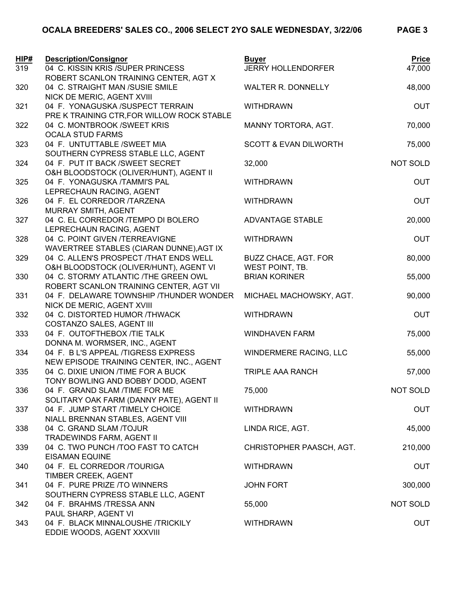| HIP#<br>319 | <b>Description/Consignor</b><br>04 C. KISSIN KRIS / SUPER PRINCESS | <b>Buyer</b><br><b>JERRY HOLLENDORFER</b> | <b>Price</b><br>47,000 |
|-------------|--------------------------------------------------------------------|-------------------------------------------|------------------------|
|             | ROBERT SCANLON TRAINING CENTER, AGT X                              |                                           |                        |
| 320         | 04 C. STRAIGHT MAN /SUSIE SMILE                                    | <b>WALTER R. DONNELLY</b>                 | 48,000                 |
|             | NICK DE MERIC, AGENT XVIII                                         |                                           |                        |
| 321         | 04 F. YONAGUSKA /SUSPECT TERRAIN                                   | <b>WITHDRAWN</b>                          | <b>OUT</b>             |
|             | PRE K TRAINING CTR, FOR WILLOW ROCK STABLE                         |                                           |                        |
| 322         | 04 C. MONTBROOK /SWEET KRIS                                        | MANNY TORTORA, AGT.                       | 70,000                 |
|             | <b>OCALA STUD FARMS</b>                                            |                                           |                        |
| 323         | 04 F. UNTUTTABLE / SWEET MIA                                       | <b>SCOTT &amp; EVAN DILWORTH</b>          | 75,000                 |
|             | SOUTHERN CYPRESS STABLE LLC, AGENT                                 |                                           |                        |
| 324         | 04 F. PUT IT BACK / SWEET SECRET                                   | 32,000                                    | <b>NOT SOLD</b>        |
|             | O&H BLOODSTOCK (OLIVER/HUNT), AGENT II                             |                                           |                        |
| 325         | 04 F. YONAGUSKA /TAMMI'S PAL                                       | <b>WITHDRAWN</b>                          | <b>OUT</b>             |
|             | LEPRECHAUN RACING, AGENT                                           |                                           |                        |
| 326         | 04 F. EL CORREDOR /TARZENA                                         | <b>WITHDRAWN</b>                          | <b>OUT</b>             |
|             | MURRAY SMITH, AGENT                                                |                                           |                        |
| 327         | 04 C. EL CORREDOR /TEMPO DI BOLERO                                 | <b>ADVANTAGE STABLE</b>                   | 20,000                 |
|             | LEPRECHAUN RACING, AGENT                                           |                                           |                        |
| 328         | 04 C. POINT GIVEN /TERREAVIGNE                                     | <b>WITHDRAWN</b>                          | <b>OUT</b>             |
|             | WAVERTREE STABLES (CIARAN DUNNE), AGT IX                           |                                           |                        |
| 329         | 04 C. ALLEN'S PROSPECT /THAT ENDS WELL                             | <b>BUZZ CHACE, AGT. FOR</b>               | 80,000                 |
|             | O&H BLOODSTOCK (OLIVER/HUNT), AGENT VI                             | WEST POINT, TB.                           |                        |
| 330         | 04 C. STORMY ATLANTIC /THE GREEN OWL                               | <b>BRIAN KORINER</b>                      | 55,000                 |
|             | ROBERT SCANLON TRAINING CENTER, AGT VII                            |                                           |                        |
| 331         | 04 F. DELAWARE TOWNSHIP / THUNDER WONDER                           | MICHAEL MACHOWSKY, AGT.                   | 90,000                 |
|             | NICK DE MERIC, AGENT XVIII                                         |                                           |                        |
| 332         | 04 C. DISTORTED HUMOR /THWACK                                      | <b>WITHDRAWN</b>                          | <b>OUT</b>             |
|             | COSTANZO SALES, AGENT III                                          |                                           |                        |
| 333         | 04 F. OUTOFTHEBOX /TIE TALK                                        | <b>WINDHAVEN FARM</b>                     | 75,000                 |
|             | DONNA M. WORMSER, INC., AGENT                                      |                                           |                        |
| 334         | 04 F. B L'S APPEAL /TIGRESS EXPRESS                                | <b>WINDERMERE RACING, LLC</b>             | 55,000                 |
|             | NEW EPISODE TRAINING CENTER, INC., AGENT                           |                                           |                        |
| 335         | 04 C. DIXIE UNION /TIME FOR A BUCK                                 | TRIPLE AAA RANCH                          | 57,000                 |
|             | TONY BOWLING AND BOBBY DODD, AGENT                                 |                                           |                        |
| 336         | 04 F. GRAND SLAM /TIME FOR ME                                      | 75,000                                    | NOT SOLD               |
|             | SOLITARY OAK FARM (DANNY PATE), AGENT II                           |                                           |                        |
| 337         | 04 F. JUMP START /TIMELY CHOICE                                    | <b>WITHDRAWN</b>                          | <b>OUT</b>             |
|             | NIALL BRENNAN STABLES, AGENT VIII                                  |                                           |                        |
| 338         | 04 C. GRAND SLAM /TOJUR                                            | LINDA RICE, AGT.                          | 45,000                 |
|             | TRADEWINDS FARM, AGENT II                                          |                                           |                        |
| 339         | 04 C. TWO PUNCH / TOO FAST TO CATCH                                | CHRISTOPHER PAASCH, AGT.                  | 210,000                |
|             | <b>EISAMAN EQUINE</b>                                              |                                           |                        |
| 340         | 04 F. EL CORREDOR /TOURIGA                                         | <b>WITHDRAWN</b>                          | <b>OUT</b>             |
|             | TIMBER CREEK, AGENT                                                |                                           |                        |
| 341         | 04 F. PURE PRIZE /TO WINNERS                                       | <b>JOHN FORT</b>                          | 300,000                |
|             | SOUTHERN CYPRESS STABLE LLC, AGENT                                 |                                           |                        |
| 342         | 04 F. BRAHMS /TRESSA ANN                                           | 55,000                                    | NOT SOLD               |
|             | PAUL SHARP, AGENT VI                                               |                                           |                        |
| 343         | 04 F. BLACK MINNALOUSHE /TRICKILY<br>EDDIE WOODS, AGENT XXXVIII    | <b>WITHDRAWN</b>                          | <b>OUT</b>             |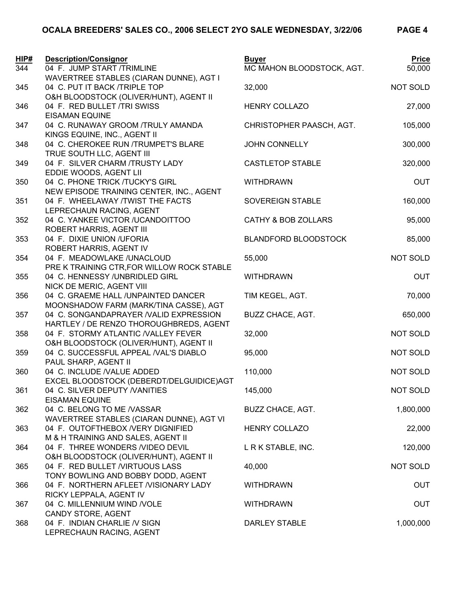| HIP#<br>344 | <b>Description/Consignor</b><br>04 F. JUMP START /TRIMLINE                                                              | <b>Buyer</b><br>MC MAHON BLOODSTOCK, AGT. | <b>Price</b><br>50,000 |
|-------------|-------------------------------------------------------------------------------------------------------------------------|-------------------------------------------|------------------------|
| 345         | WAVERTREE STABLES (CIARAN DUNNE), AGT I<br>04 C. PUT IT BACK /TRIPLE TOP                                                | 32,000                                    | NOT SOLD               |
| 346         | O&H BLOODSTOCK (OLIVER/HUNT), AGENT II<br>04 F. RED BULLET /TRI SWISS<br><b>EISAMAN EQUINE</b>                          | <b>HENRY COLLAZO</b>                      | 27,000                 |
| 347         | 04 C. RUNAWAY GROOM /TRULY AMANDA<br>KINGS EQUINE, INC., AGENT II                                                       | CHRISTOPHER PAASCH, AGT.                  | 105,000                |
| 348         | 04 C. CHEROKEE RUN /TRUMPET'S BLARE<br>TRUE SOUTH LLC, AGENT III                                                        | <b>JOHN CONNELLY</b>                      | 300,000                |
| 349         | 04 F. SILVER CHARM /TRUSTY LADY<br>EDDIE WOODS, AGENT LII                                                               | <b>CASTLETOP STABLE</b>                   | 320,000                |
| 350         | 04 C. PHONE TRICK /TUCKY'S GIRL<br>NEW EPISODE TRAINING CENTER, INC., AGENT                                             | <b>WITHDRAWN</b>                          | <b>OUT</b>             |
| 351         | 04 F. WHEELAWAY /TWIST THE FACTS<br>LEPRECHAUN RACING, AGENT                                                            | SOVEREIGN STABLE                          | 160,000                |
| 352         | 04 C. YANKEE VICTOR /UCANDOITTOO<br>ROBERT HARRIS, AGENT III                                                            | CATHY & BOB ZOLLARS                       | 95,000                 |
| 353         | 04 F. DIXIE UNION /UFORIA<br>ROBERT HARRIS, AGENT IV                                                                    | <b>BLANDFORD BLOODSTOCK</b>               | 85,000                 |
| 354         | 04 F. MEADOWLAKE /UNACLOUD<br>PRE K TRAINING CTR, FOR WILLOW ROCK STABLE                                                | 55,000                                    | NOT SOLD               |
| 355         | 04 C. HENNESSY /UNBRIDLED GIRL<br>NICK DE MERIC, AGENT VIII                                                             | <b>WITHDRAWN</b>                          | <b>OUT</b>             |
| 356         | 04 C. GRAEME HALL /UNPAINTED DANCER<br>MOONSHADOW FARM (MARK/TINA CASSE), AGT<br>04 C. SONGANDAPRAYER /VALID EXPRESSION | TIM KEGEL, AGT.                           | 70,000                 |
| 357<br>358  | HARTLEY / DE RENZO THOROUGHBREDS, AGENT<br>04 F. STORMY ATLANTIC /VALLEY FEVER                                          | BUZZ CHACE, AGT.<br>32,000                | 650,000<br>NOT SOLD    |
| 359         | O&H BLOODSTOCK (OLIVER/HUNT), AGENT II<br>04 C. SUCCESSFUL APPEAL /VAL'S DIABLO                                         | 95,000                                    | NOT SOLD               |
| 360         | PAUL SHARP, AGENT II<br>04 C. INCLUDE /VALUE ADDED                                                                      | 110,000                                   | NOT SOLD               |
| 361         | EXCEL BLOODSTOCK (DEBERDT/DELGUIDICE)AGT<br>04 C. SILVER DEPUTY / VANITIES                                              | 145,000                                   | NOT SOLD               |
| 362         | <b>EISAMAN EQUINE</b><br>04 C. BELONG TO ME /VASSAR                                                                     | <b>BUZZ CHACE, AGT.</b>                   | 1,800,000              |
| 363         | WAVERTREE STABLES (CIARAN DUNNE), AGT VI<br>04 F. OUTOFTHEBOX /VERY DIGNIFIED                                           | <b>HENRY COLLAZO</b>                      | 22,000                 |
| 364         | M & H TRAINING AND SALES, AGENT II<br>04 F. THREE WONDERS / VIDEO DEVIL                                                 | L R K STABLE, INC.                        | 120,000                |
| 365         | O&H BLOODSTOCK (OLIVER/HUNT), AGENT II<br>04 F. RED BULLET /VIRTUOUS LASS                                               | 40,000                                    | NOT SOLD               |
| 366         | TONY BOWLING AND BOBBY DODD, AGENT<br>04 F. NORTHERN AFLEET /VISIONARY LADY                                             | <b>WITHDRAWN</b>                          | <b>OUT</b>             |
| 367         | RICKY LEPPALA, AGENT IV<br>04 C. MILLENNIUM WIND /VOLE<br>CANDY STORE, AGENT                                            | <b>WITHDRAWN</b>                          | <b>OUT</b>             |
| 368         | 04 F. INDIAN CHARLIE / VSIGN<br>LEPRECHAUN RACING, AGENT                                                                | <b>DARLEY STABLE</b>                      | 1,000,000              |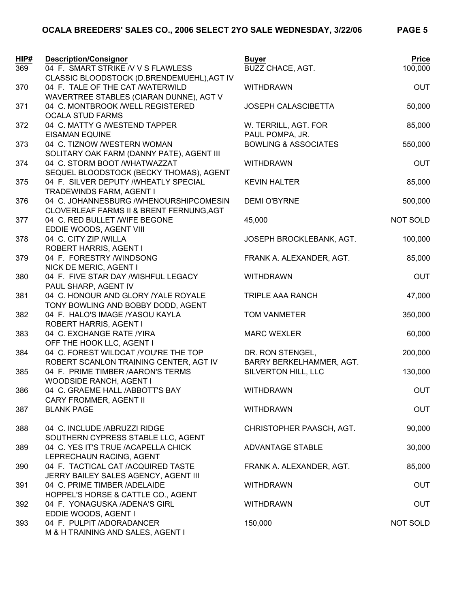## **OCALA BREEDERS' SALES CO., 2006 SELECT 2YO SALE WEDNESDAY, 3/22/06 PAGE 5**

| HIP# | <b>Description/Consignor</b>                                                      | <b>Buyer</b>                    | <b>Price</b> |
|------|-----------------------------------------------------------------------------------|---------------------------------|--------------|
| 369  | 04 F. SMART STRIKE / V V S FLAWLESS<br>CLASSIC BLOODSTOCK (D.BRENDEMUEHL), AGT IV | <b>BUZZ CHACE, AGT.</b>         | 100,000      |
| 370  | 04 F. TALE OF THE CAT /WATERWILD<br>WAVERTREE STABLES (CIARAN DUNNE), AGT V       | <b>WITHDRAWN</b>                | <b>OUT</b>   |
| 371  | 04 C. MONTBROOK /WELL REGISTERED<br><b>OCALA STUD FARMS</b>                       | <b>JOSEPH CALASCIBETTA</b>      | 50,000       |
| 372  | 04 C. MATTY G /WESTEND TAPPER                                                     | W. TERRILL, AGT. FOR            | 85,000       |
|      | <b>EISAMAN EQUINE</b>                                                             | PAUL POMPA, JR.                 |              |
| 373  | 04 C. TIZNOW /WESTERN WOMAN                                                       | <b>BOWLING &amp; ASSOCIATES</b> | 550,000      |
|      | SOLITARY OAK FARM (DANNY PATE), AGENT III                                         |                                 |              |
| 374  | 04 C. STORM BOOT /WHATWAZZAT                                                      | <b>WITHDRAWN</b>                | <b>OUT</b>   |
|      | SEQUEL BLOODSTOCK (BECKY THOMAS), AGENT                                           |                                 |              |
| 375  | 04 F. SILVER DEPUTY / WHEATLY SPECIAL                                             | <b>KEVIN HALTER</b>             | 85,000       |
|      | TRADEWINDS FARM, AGENT I                                                          |                                 |              |
| 376  | 04 C. JOHANNESBURG /WHENOURSHIPCOMESIN                                            | <b>DEMI O'BYRNE</b>             | 500,000      |
| 377  | CLOVERLEAF FARMS II & BRENT FERNUNG, AGT<br>04 C. RED BULLET / WIFE BEGONE        | 45,000                          | NOT SOLD     |
|      | EDDIE WOODS, AGENT VIII                                                           |                                 |              |
| 378  | 04 C. CITY ZIP / WILLA                                                            | JOSEPH BROCKLEBANK, AGT.        | 100,000      |
|      | <b>ROBERT HARRIS, AGENT I</b>                                                     |                                 |              |
| 379  | 04 F. FORESTRY /WINDSONG                                                          | FRANK A. ALEXANDER, AGT.        | 85,000       |
|      | NICK DE MERIC, AGENT I                                                            |                                 |              |
| 380  | 04 F. FIVE STAR DAY /WISHFUL LEGACY                                               | <b>WITHDRAWN</b>                | <b>OUT</b>   |
|      | PAUL SHARP, AGENT IV                                                              |                                 |              |
| 381  | 04 C. HONOUR AND GLORY / YALE ROYALE                                              | <b>TRIPLE AAA RANCH</b>         | 47,000       |
|      | TONY BOWLING AND BOBBY DODD, AGENT                                                |                                 |              |
| 382  | 04 F. HALO'S IMAGE /YASOU KAYLA                                                   | <b>TOM VANMETER</b>             | 350,000      |
| 383  | ROBERT HARRIS, AGENT I<br>04 C. EXCHANGE RATE /YIRA                               | <b>MARC WEXLER</b>              | 60,000       |
|      | OFF THE HOOK LLC, AGENT I                                                         |                                 |              |
| 384  | 04 C. FOREST WILDCAT /YOU'RE THE TOP                                              | DR. RON STENGEL,                | 200,000      |
|      | ROBERT SCANLON TRAINING CENTER, AGT IV                                            | BARRY BERKELHAMMER, AGT.        |              |
| 385  | 04 F. PRIME TIMBER /AARON'S TERMS                                                 | SILVERTON HILL, LLC             | 130,000      |
|      | WOODSIDE RANCH, AGENT I                                                           |                                 |              |
| 386  | 04 C. GRAEME HALL /ABBOTT'S BAY                                                   | <b>WITHDRAWN</b>                | <b>OUT</b>   |
|      | CARY FROMMER, AGENT II                                                            |                                 |              |
| 387  | <b>BLANK PAGE</b>                                                                 | <b>WITHDRAWN</b>                | <b>OUT</b>   |
| 388  | 04 C. INCLUDE / ABRUZZI RIDGE                                                     | CHRISTOPHER PAASCH, AGT.        | 90,000       |
|      | SOUTHERN CYPRESS STABLE LLC, AGENT                                                |                                 |              |
| 389  | 04 C. YES IT'S TRUE /ACAPELLA CHICK                                               | ADVANTAGE STABLE                | 30,000       |
| 390  | LEPRECHAUN RACING, AGENT<br>04 F. TACTICAL CAT /ACQUIRED TASTE                    | FRANK A. ALEXANDER, AGT.        | 85,000       |
|      | JERRY BAILEY SALES AGENCY, AGENT III                                              |                                 |              |
| 391  | 04 C. PRIME TIMBER /ADELAIDE                                                      | <b>WITHDRAWN</b>                | <b>OUT</b>   |
|      | HOPPEL'S HORSE & CATTLE CO., AGENT                                                |                                 |              |
| 392  | 04 F. YONAGUSKA /ADENA'S GIRL                                                     | <b>WITHDRAWN</b>                | <b>OUT</b>   |
|      | EDDIE WOODS, AGENT I                                                              |                                 |              |
| 393  | 04 F. PULPIT /ADORADANCER<br>M & H TRAINING AND SALES, AGENT I                    | 150,000                         | NOT SOLD     |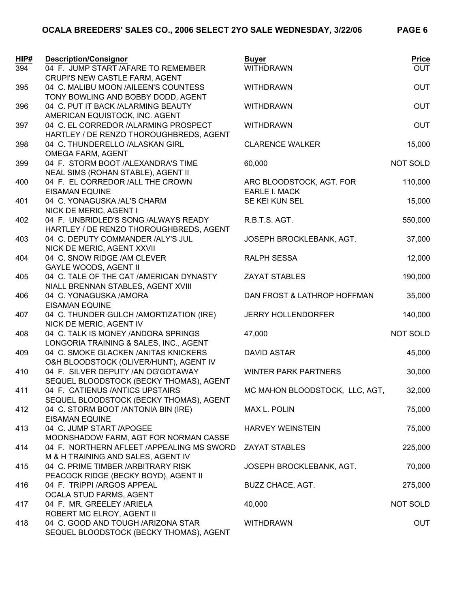| HIP# | <b>Description/Consignor</b>                                                    | <b>Buyer</b>                   | <b>Price</b> |
|------|---------------------------------------------------------------------------------|--------------------------------|--------------|
| 394  | 04 F. JUMP START / AFARE TO REMEMBER                                            | <b>WITHDRAWN</b>               | <b>OUT</b>   |
| 395  | CRUPI'S NEW CASTLE FARM, AGENT<br>04 C. MALIBU MOON /AILEEN'S COUNTESS          | <b>WITHDRAWN</b>               | <b>OUT</b>   |
|      | TONY BOWLING AND BOBBY DODD, AGENT                                              |                                |              |
| 396  | 04 C. PUT IT BACK /ALARMING BEAUTY                                              | <b>WITHDRAWN</b>               | <b>OUT</b>   |
|      | AMERICAN EQUISTOCK, INC. AGENT                                                  |                                |              |
| 397  | 04 C. EL CORREDOR /ALARMING PROSPECT                                            | <b>WITHDRAWN</b>               | <b>OUT</b>   |
|      | HARTLEY / DE RENZO THOROUGHBREDS, AGENT                                         |                                |              |
| 398  | 04 C. THUNDERELLO /ALASKAN GIRL                                                 | <b>CLARENCE WALKER</b>         | 15,000       |
|      | <b>OMEGA FARM, AGENT</b>                                                        |                                |              |
| 399  | 04 F. STORM BOOT /ALEXANDRA'S TIME                                              | 60,000                         | NOT SOLD     |
|      | NEAL SIMS (ROHAN STABLE), AGENT II                                              |                                |              |
| 400  | 04 F. EL CORREDOR / ALL THE CROWN                                               | ARC BLOODSTOCK, AGT. FOR       | 110,000      |
|      | <b>EISAMAN EQUINE</b>                                                           | <b>EARLE I. MACK</b>           |              |
| 401  | 04 C. YONAGUSKA /AL'S CHARM                                                     | SE KEI KUN SEL                 | 15,000       |
|      | NICK DE MERIC, AGENT I<br>04 F. UNBRIDLED'S SONG /ALWAYS READY                  | R.B.T.S. AGT.                  |              |
| 402  | HARTLEY / DE RENZO THOROUGHBREDS, AGENT                                         |                                | 550,000      |
| 403  | 04 C. DEPUTY COMMANDER /ALY'S JUL                                               | JOSEPH BROCKLEBANK, AGT.       | 37,000       |
|      | NICK DE MERIC, AGENT XXVII                                                      |                                |              |
| 404  | 04 C. SNOW RIDGE / AM CLEVER                                                    | <b>RALPH SESSA</b>             | 12,000       |
|      | <b>GAYLE WOODS, AGENT II</b>                                                    |                                |              |
| 405  | 04 C. TALE OF THE CAT /AMERICAN DYNASTY                                         | <b>ZAYAT STABLES</b>           | 190,000      |
|      | NIALL BRENNAN STABLES, AGENT XVIII                                              |                                |              |
| 406  | 04 C. YONAGUSKA / AMORA                                                         | DAN FROST & LATHROP HOFFMAN    | 35,000       |
|      | <b>EISAMAN EQUINE</b>                                                           |                                |              |
| 407  | 04 C. THUNDER GULCH /AMORTIZATION (IRE)                                         | <b>JERRY HOLLENDORFER</b>      | 140,000      |
|      | NICK DE MERIC, AGENT IV                                                         |                                |              |
| 408  | 04 C. TALK IS MONEY / ANDORA SPRINGS                                            | 47,000                         | NOT SOLD     |
| 409  | LONGORIA TRAINING & SALES, INC., AGENT<br>04 C. SMOKE GLACKEN / ANITAS KNICKERS | <b>DAVID ASTAR</b>             | 45,000       |
|      | O&H BLOODSTOCK (OLIVER/HUNT), AGENT IV                                          |                                |              |
| 410  | 04 F. SILVER DEPUTY / AN OG'GOTAWAY                                             | <b>WINTER PARK PARTNERS</b>    | 30,000       |
|      | SEQUEL BLOODSTOCK (BECKY THOMAS), AGENT                                         |                                |              |
| 411  | 04 F. CATIENUS / ANTICS UPSTAIRS                                                | MC MAHON BLOODSTOCK, LLC, AGT, | 32,000       |
|      | SEQUEL BLOODSTOCK (BECKY THOMAS), AGENT                                         |                                |              |
| 412  | 04 C. STORM BOOT /ANTONIA BIN (IRE)                                             | MAX L. POLIN                   | 75,000       |
|      | <b>EISAMAN EQUINE</b>                                                           |                                |              |
| 413  | 04 C. JUMP START /APOGEE                                                        | <b>HARVEY WEINSTEIN</b>        | 75,000       |
|      | MOONSHADOW FARM, AGT FOR NORMAN CASSE                                           |                                |              |
| 414  | 04 F. NORTHERN AFLEET / APPEALING MS SWORD                                      | <b>ZAYAT STABLES</b>           | 225,000      |
| 415  | M & H TRAINING AND SALES, AGENT IV<br>04 C. PRIME TIMBER / ARBITRARY RISK       | JOSEPH BROCKLEBANK, AGT.       | 70,000       |
|      | PEACOCK RIDGE (BECKY BOYD), AGENT II                                            |                                |              |
| 416  | 04 F. TRIPPI /ARGOS APPEAL                                                      | <b>BUZZ CHACE, AGT.</b>        | 275,000      |
|      | OCALA STUD FARMS, AGENT                                                         |                                |              |
| 417  | 04 F. MR. GREELEY /ARIELA                                                       | 40,000                         | NOT SOLD     |
|      | ROBERT MC ELROY, AGENT II                                                       |                                |              |
| 418  | 04 C. GOOD AND TOUGH /ARIZONA STAR                                              | <b>WITHDRAWN</b>               | <b>OUT</b>   |
|      | SEQUEL BLOODSTOCK (BECKY THOMAS), AGENT                                         |                                |              |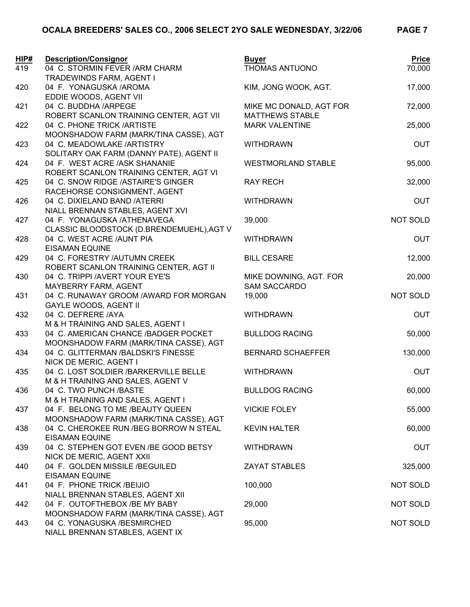## **OCALA BREEDERS' SALES CO., 2006 SELECT 2YO SALE WEDNESDAY, 3/22/06 PAGE 7**

| TRADEWINDS FARM, AGENT I<br>420<br>17,000<br>04 F. YONAGUSKA /AROMA<br>KIM, JONG WOOK, AGT.<br>EDDIE WOODS, AGENT VII<br>04 C. BUDDHA /ARPEGE<br>72,000<br>421<br>MIKE MC DONALD, AGT FOR<br>ROBERT SCANLON TRAINING CENTER, AGT VII<br><b>MATTHEWS STABLE</b><br>25,000<br>422<br>04 C. PHONE TRICK /ARTISTE<br><b>MARK VALENTINE</b><br>MOONSHADOW FARM (MARK/TINA CASSE), AGT<br>04 C. MEADOWLAKE /ARTISTRY<br><b>OUT</b><br>423<br><b>WITHDRAWN</b><br>SOLITARY OAK FARM (DANNY PATE), AGENT II<br>95,000<br>04 F. WEST ACRE /ASK SHANANIE<br><b>WESTMORLAND STABLE</b><br>424<br>ROBERT SCANLON TRAINING CENTER, AGT VI<br>32,000<br>04 C. SNOW RIDGE / ASTAIRE'S GINGER<br><b>RAY RECH</b><br>425<br>RACEHORSE CONSIGNMENT, AGENT<br>426<br>04 C. DIXIELAND BAND /ATERRI<br><b>OUT</b><br><b>WITHDRAWN</b><br>NIALL BRENNAN STABLES, AGENT XVI<br><b>NOT SOLD</b><br>04 F. YONAGUSKA /ATHENAVEGA<br>427<br>39,000<br>CLASSIC BLOODSTOCK (D.BRENDEMUEHL), AGT V<br>428<br>04 C. WEST ACRE / AUNT PIA<br><b>OUT</b><br><b>WITHDRAWN</b><br><b>EISAMAN EQUINE</b><br>04 C. FORESTRY /AUTUMN CREEK<br>12,000<br>429<br><b>BILL CESARE</b><br>ROBERT SCANLON TRAINING CENTER, AGT II<br>20,000<br>430<br>04 C. TRIPPI /AVERT YOUR EYE'S<br>MIKE DOWNING, AGT. FOR<br><b>SAM SACCARDO</b><br>MAYBERRY FARM, AGENT<br>04 C. RUNAWAY GROOM /AWARD FOR MORGAN<br>19,000<br>NOT SOLD<br>431<br><b>GAYLE WOODS, AGENT II</b><br>04 C. DEFRERE /AYA<br><b>OUT</b><br>432<br><b>WITHDRAWN</b><br>M & H TRAINING AND SALES, AGENT I<br>433<br>04 C. AMERICAN CHANCE /BADGER POCKET<br>50,000<br><b>BULLDOG RACING</b><br>MOONSHADOW FARM (MARK/TINA CASSE), AGT<br>434<br>04 C. GLITTERMAN /BALDSKI'S FINESSE<br>130,000<br><b>BERNARD SCHAEFFER</b><br>NICK DE MERIC, AGENT I<br><b>OUT</b><br>435<br>04 C. LOST SOLDIER /BARKERVILLE BELLE<br><b>WITHDRAWN</b><br>M & H TRAINING AND SALES, AGENT V<br>04 C. TWO PUNCH /BASTE<br><b>BULLDOG RACING</b><br>60,000<br>436<br>M & H TRAINING AND SALES, AGENT I<br>437<br>04 F. BELONG TO ME /BEAUTY QUEEN<br><b>VICKIE FOLEY</b><br>55,000<br>MOONSHADOW FARM (MARK/TINA CASSE), AGT<br>04 C. CHEROKEE RUN / BEG BORROW N STEAL<br>60,000<br><b>KEVIN HALTER</b><br>438<br><b>EISAMAN EQUINE</b><br>04 C. STEPHEN GOT EVEN /BE GOOD BETSY<br><b>OUT</b><br>439<br><b>WITHDRAWN</b><br>NICK DE MERIC, AGENT XXII<br>04 F. GOLDEN MISSILE /BEGUILED<br><b>ZAYAT STABLES</b><br>325,000<br>440<br><b>EISAMAN EQUINE</b> | HIP# | <b>Description/Consignor</b>   | <b>Buyer</b>   | <b>Price</b> |
|--------------------------------------------------------------------------------------------------------------------------------------------------------------------------------------------------------------------------------------------------------------------------------------------------------------------------------------------------------------------------------------------------------------------------------------------------------------------------------------------------------------------------------------------------------------------------------------------------------------------------------------------------------------------------------------------------------------------------------------------------------------------------------------------------------------------------------------------------------------------------------------------------------------------------------------------------------------------------------------------------------------------------------------------------------------------------------------------------------------------------------------------------------------------------------------------------------------------------------------------------------------------------------------------------------------------------------------------------------------------------------------------------------------------------------------------------------------------------------------------------------------------------------------------------------------------------------------------------------------------------------------------------------------------------------------------------------------------------------------------------------------------------------------------------------------------------------------------------------------------------------------------------------------------------------------------------------------------------------------------------------------------------------------------------------------------------------------------------------------------------------------------------------------------------------------------------------------------------------------------------------------------------------------------------------------------------------------------------------------------------------------------------------------------------------------------------------------|------|--------------------------------|----------------|--------------|
|                                                                                                                                                                                                                                                                                                                                                                                                                                                                                                                                                                                                                                                                                                                                                                                                                                                                                                                                                                                                                                                                                                                                                                                                                                                                                                                                                                                                                                                                                                                                                                                                                                                                                                                                                                                                                                                                                                                                                                                                                                                                                                                                                                                                                                                                                                                                                                                                                                                              | 419  | 04 C. STORMIN FEVER /ARM CHARM | THOMAS ANTUONO | 70,000       |
|                                                                                                                                                                                                                                                                                                                                                                                                                                                                                                                                                                                                                                                                                                                                                                                                                                                                                                                                                                                                                                                                                                                                                                                                                                                                                                                                                                                                                                                                                                                                                                                                                                                                                                                                                                                                                                                                                                                                                                                                                                                                                                                                                                                                                                                                                                                                                                                                                                                              |      |                                |                |              |
|                                                                                                                                                                                                                                                                                                                                                                                                                                                                                                                                                                                                                                                                                                                                                                                                                                                                                                                                                                                                                                                                                                                                                                                                                                                                                                                                                                                                                                                                                                                                                                                                                                                                                                                                                                                                                                                                                                                                                                                                                                                                                                                                                                                                                                                                                                                                                                                                                                                              |      |                                |                |              |
|                                                                                                                                                                                                                                                                                                                                                                                                                                                                                                                                                                                                                                                                                                                                                                                                                                                                                                                                                                                                                                                                                                                                                                                                                                                                                                                                                                                                                                                                                                                                                                                                                                                                                                                                                                                                                                                                                                                                                                                                                                                                                                                                                                                                                                                                                                                                                                                                                                                              |      |                                |                |              |
|                                                                                                                                                                                                                                                                                                                                                                                                                                                                                                                                                                                                                                                                                                                                                                                                                                                                                                                                                                                                                                                                                                                                                                                                                                                                                                                                                                                                                                                                                                                                                                                                                                                                                                                                                                                                                                                                                                                                                                                                                                                                                                                                                                                                                                                                                                                                                                                                                                                              |      |                                |                |              |
|                                                                                                                                                                                                                                                                                                                                                                                                                                                                                                                                                                                                                                                                                                                                                                                                                                                                                                                                                                                                                                                                                                                                                                                                                                                                                                                                                                                                                                                                                                                                                                                                                                                                                                                                                                                                                                                                                                                                                                                                                                                                                                                                                                                                                                                                                                                                                                                                                                                              |      |                                |                |              |
|                                                                                                                                                                                                                                                                                                                                                                                                                                                                                                                                                                                                                                                                                                                                                                                                                                                                                                                                                                                                                                                                                                                                                                                                                                                                                                                                                                                                                                                                                                                                                                                                                                                                                                                                                                                                                                                                                                                                                                                                                                                                                                                                                                                                                                                                                                                                                                                                                                                              |      |                                |                |              |
|                                                                                                                                                                                                                                                                                                                                                                                                                                                                                                                                                                                                                                                                                                                                                                                                                                                                                                                                                                                                                                                                                                                                                                                                                                                                                                                                                                                                                                                                                                                                                                                                                                                                                                                                                                                                                                                                                                                                                                                                                                                                                                                                                                                                                                                                                                                                                                                                                                                              |      |                                |                |              |
|                                                                                                                                                                                                                                                                                                                                                                                                                                                                                                                                                                                                                                                                                                                                                                                                                                                                                                                                                                                                                                                                                                                                                                                                                                                                                                                                                                                                                                                                                                                                                                                                                                                                                                                                                                                                                                                                                                                                                                                                                                                                                                                                                                                                                                                                                                                                                                                                                                                              |      |                                |                |              |
|                                                                                                                                                                                                                                                                                                                                                                                                                                                                                                                                                                                                                                                                                                                                                                                                                                                                                                                                                                                                                                                                                                                                                                                                                                                                                                                                                                                                                                                                                                                                                                                                                                                                                                                                                                                                                                                                                                                                                                                                                                                                                                                                                                                                                                                                                                                                                                                                                                                              |      |                                |                |              |
|                                                                                                                                                                                                                                                                                                                                                                                                                                                                                                                                                                                                                                                                                                                                                                                                                                                                                                                                                                                                                                                                                                                                                                                                                                                                                                                                                                                                                                                                                                                                                                                                                                                                                                                                                                                                                                                                                                                                                                                                                                                                                                                                                                                                                                                                                                                                                                                                                                                              |      |                                |                |              |
|                                                                                                                                                                                                                                                                                                                                                                                                                                                                                                                                                                                                                                                                                                                                                                                                                                                                                                                                                                                                                                                                                                                                                                                                                                                                                                                                                                                                                                                                                                                                                                                                                                                                                                                                                                                                                                                                                                                                                                                                                                                                                                                                                                                                                                                                                                                                                                                                                                                              |      |                                |                |              |
|                                                                                                                                                                                                                                                                                                                                                                                                                                                                                                                                                                                                                                                                                                                                                                                                                                                                                                                                                                                                                                                                                                                                                                                                                                                                                                                                                                                                                                                                                                                                                                                                                                                                                                                                                                                                                                                                                                                                                                                                                                                                                                                                                                                                                                                                                                                                                                                                                                                              |      |                                |                |              |
|                                                                                                                                                                                                                                                                                                                                                                                                                                                                                                                                                                                                                                                                                                                                                                                                                                                                                                                                                                                                                                                                                                                                                                                                                                                                                                                                                                                                                                                                                                                                                                                                                                                                                                                                                                                                                                                                                                                                                                                                                                                                                                                                                                                                                                                                                                                                                                                                                                                              |      |                                |                |              |
|                                                                                                                                                                                                                                                                                                                                                                                                                                                                                                                                                                                                                                                                                                                                                                                                                                                                                                                                                                                                                                                                                                                                                                                                                                                                                                                                                                                                                                                                                                                                                                                                                                                                                                                                                                                                                                                                                                                                                                                                                                                                                                                                                                                                                                                                                                                                                                                                                                                              |      |                                |                |              |
|                                                                                                                                                                                                                                                                                                                                                                                                                                                                                                                                                                                                                                                                                                                                                                                                                                                                                                                                                                                                                                                                                                                                                                                                                                                                                                                                                                                                                                                                                                                                                                                                                                                                                                                                                                                                                                                                                                                                                                                                                                                                                                                                                                                                                                                                                                                                                                                                                                                              |      |                                |                |              |
|                                                                                                                                                                                                                                                                                                                                                                                                                                                                                                                                                                                                                                                                                                                                                                                                                                                                                                                                                                                                                                                                                                                                                                                                                                                                                                                                                                                                                                                                                                                                                                                                                                                                                                                                                                                                                                                                                                                                                                                                                                                                                                                                                                                                                                                                                                                                                                                                                                                              |      |                                |                |              |
|                                                                                                                                                                                                                                                                                                                                                                                                                                                                                                                                                                                                                                                                                                                                                                                                                                                                                                                                                                                                                                                                                                                                                                                                                                                                                                                                                                                                                                                                                                                                                                                                                                                                                                                                                                                                                                                                                                                                                                                                                                                                                                                                                                                                                                                                                                                                                                                                                                                              |      |                                |                |              |
|                                                                                                                                                                                                                                                                                                                                                                                                                                                                                                                                                                                                                                                                                                                                                                                                                                                                                                                                                                                                                                                                                                                                                                                                                                                                                                                                                                                                                                                                                                                                                                                                                                                                                                                                                                                                                                                                                                                                                                                                                                                                                                                                                                                                                                                                                                                                                                                                                                                              |      |                                |                |              |
|                                                                                                                                                                                                                                                                                                                                                                                                                                                                                                                                                                                                                                                                                                                                                                                                                                                                                                                                                                                                                                                                                                                                                                                                                                                                                                                                                                                                                                                                                                                                                                                                                                                                                                                                                                                                                                                                                                                                                                                                                                                                                                                                                                                                                                                                                                                                                                                                                                                              |      |                                |                |              |
|                                                                                                                                                                                                                                                                                                                                                                                                                                                                                                                                                                                                                                                                                                                                                                                                                                                                                                                                                                                                                                                                                                                                                                                                                                                                                                                                                                                                                                                                                                                                                                                                                                                                                                                                                                                                                                                                                                                                                                                                                                                                                                                                                                                                                                                                                                                                                                                                                                                              |      |                                |                |              |
|                                                                                                                                                                                                                                                                                                                                                                                                                                                                                                                                                                                                                                                                                                                                                                                                                                                                                                                                                                                                                                                                                                                                                                                                                                                                                                                                                                                                                                                                                                                                                                                                                                                                                                                                                                                                                                                                                                                                                                                                                                                                                                                                                                                                                                                                                                                                                                                                                                                              |      |                                |                |              |
|                                                                                                                                                                                                                                                                                                                                                                                                                                                                                                                                                                                                                                                                                                                                                                                                                                                                                                                                                                                                                                                                                                                                                                                                                                                                                                                                                                                                                                                                                                                                                                                                                                                                                                                                                                                                                                                                                                                                                                                                                                                                                                                                                                                                                                                                                                                                                                                                                                                              |      |                                |                |              |
|                                                                                                                                                                                                                                                                                                                                                                                                                                                                                                                                                                                                                                                                                                                                                                                                                                                                                                                                                                                                                                                                                                                                                                                                                                                                                                                                                                                                                                                                                                                                                                                                                                                                                                                                                                                                                                                                                                                                                                                                                                                                                                                                                                                                                                                                                                                                                                                                                                                              |      |                                |                |              |
|                                                                                                                                                                                                                                                                                                                                                                                                                                                                                                                                                                                                                                                                                                                                                                                                                                                                                                                                                                                                                                                                                                                                                                                                                                                                                                                                                                                                                                                                                                                                                                                                                                                                                                                                                                                                                                                                                                                                                                                                                                                                                                                                                                                                                                                                                                                                                                                                                                                              |      |                                |                |              |
|                                                                                                                                                                                                                                                                                                                                                                                                                                                                                                                                                                                                                                                                                                                                                                                                                                                                                                                                                                                                                                                                                                                                                                                                                                                                                                                                                                                                                                                                                                                                                                                                                                                                                                                                                                                                                                                                                                                                                                                                                                                                                                                                                                                                                                                                                                                                                                                                                                                              |      |                                |                |              |
|                                                                                                                                                                                                                                                                                                                                                                                                                                                                                                                                                                                                                                                                                                                                                                                                                                                                                                                                                                                                                                                                                                                                                                                                                                                                                                                                                                                                                                                                                                                                                                                                                                                                                                                                                                                                                                                                                                                                                                                                                                                                                                                                                                                                                                                                                                                                                                                                                                                              |      |                                |                |              |
|                                                                                                                                                                                                                                                                                                                                                                                                                                                                                                                                                                                                                                                                                                                                                                                                                                                                                                                                                                                                                                                                                                                                                                                                                                                                                                                                                                                                                                                                                                                                                                                                                                                                                                                                                                                                                                                                                                                                                                                                                                                                                                                                                                                                                                                                                                                                                                                                                                                              |      |                                |                |              |
|                                                                                                                                                                                                                                                                                                                                                                                                                                                                                                                                                                                                                                                                                                                                                                                                                                                                                                                                                                                                                                                                                                                                                                                                                                                                                                                                                                                                                                                                                                                                                                                                                                                                                                                                                                                                                                                                                                                                                                                                                                                                                                                                                                                                                                                                                                                                                                                                                                                              |      |                                |                |              |
|                                                                                                                                                                                                                                                                                                                                                                                                                                                                                                                                                                                                                                                                                                                                                                                                                                                                                                                                                                                                                                                                                                                                                                                                                                                                                                                                                                                                                                                                                                                                                                                                                                                                                                                                                                                                                                                                                                                                                                                                                                                                                                                                                                                                                                                                                                                                                                                                                                                              |      |                                |                |              |
|                                                                                                                                                                                                                                                                                                                                                                                                                                                                                                                                                                                                                                                                                                                                                                                                                                                                                                                                                                                                                                                                                                                                                                                                                                                                                                                                                                                                                                                                                                                                                                                                                                                                                                                                                                                                                                                                                                                                                                                                                                                                                                                                                                                                                                                                                                                                                                                                                                                              |      |                                |                |              |
|                                                                                                                                                                                                                                                                                                                                                                                                                                                                                                                                                                                                                                                                                                                                                                                                                                                                                                                                                                                                                                                                                                                                                                                                                                                                                                                                                                                                                                                                                                                                                                                                                                                                                                                                                                                                                                                                                                                                                                                                                                                                                                                                                                                                                                                                                                                                                                                                                                                              |      |                                |                |              |
|                                                                                                                                                                                                                                                                                                                                                                                                                                                                                                                                                                                                                                                                                                                                                                                                                                                                                                                                                                                                                                                                                                                                                                                                                                                                                                                                                                                                                                                                                                                                                                                                                                                                                                                                                                                                                                                                                                                                                                                                                                                                                                                                                                                                                                                                                                                                                                                                                                                              |      |                                |                |              |
|                                                                                                                                                                                                                                                                                                                                                                                                                                                                                                                                                                                                                                                                                                                                                                                                                                                                                                                                                                                                                                                                                                                                                                                                                                                                                                                                                                                                                                                                                                                                                                                                                                                                                                                                                                                                                                                                                                                                                                                                                                                                                                                                                                                                                                                                                                                                                                                                                                                              |      |                                |                |              |
|                                                                                                                                                                                                                                                                                                                                                                                                                                                                                                                                                                                                                                                                                                                                                                                                                                                                                                                                                                                                                                                                                                                                                                                                                                                                                                                                                                                                                                                                                                                                                                                                                                                                                                                                                                                                                                                                                                                                                                                                                                                                                                                                                                                                                                                                                                                                                                                                                                                              |      |                                |                |              |
|                                                                                                                                                                                                                                                                                                                                                                                                                                                                                                                                                                                                                                                                                                                                                                                                                                                                                                                                                                                                                                                                                                                                                                                                                                                                                                                                                                                                                                                                                                                                                                                                                                                                                                                                                                                                                                                                                                                                                                                                                                                                                                                                                                                                                                                                                                                                                                                                                                                              |      |                                |                |              |
|                                                                                                                                                                                                                                                                                                                                                                                                                                                                                                                                                                                                                                                                                                                                                                                                                                                                                                                                                                                                                                                                                                                                                                                                                                                                                                                                                                                                                                                                                                                                                                                                                                                                                                                                                                                                                                                                                                                                                                                                                                                                                                                                                                                                                                                                                                                                                                                                                                                              |      |                                |                |              |
|                                                                                                                                                                                                                                                                                                                                                                                                                                                                                                                                                                                                                                                                                                                                                                                                                                                                                                                                                                                                                                                                                                                                                                                                                                                                                                                                                                                                                                                                                                                                                                                                                                                                                                                                                                                                                                                                                                                                                                                                                                                                                                                                                                                                                                                                                                                                                                                                                                                              |      |                                |                |              |
|                                                                                                                                                                                                                                                                                                                                                                                                                                                                                                                                                                                                                                                                                                                                                                                                                                                                                                                                                                                                                                                                                                                                                                                                                                                                                                                                                                                                                                                                                                                                                                                                                                                                                                                                                                                                                                                                                                                                                                                                                                                                                                                                                                                                                                                                                                                                                                                                                                                              |      |                                |                |              |
|                                                                                                                                                                                                                                                                                                                                                                                                                                                                                                                                                                                                                                                                                                                                                                                                                                                                                                                                                                                                                                                                                                                                                                                                                                                                                                                                                                                                                                                                                                                                                                                                                                                                                                                                                                                                                                                                                                                                                                                                                                                                                                                                                                                                                                                                                                                                                                                                                                                              |      |                                |                |              |
|                                                                                                                                                                                                                                                                                                                                                                                                                                                                                                                                                                                                                                                                                                                                                                                                                                                                                                                                                                                                                                                                                                                                                                                                                                                                                                                                                                                                                                                                                                                                                                                                                                                                                                                                                                                                                                                                                                                                                                                                                                                                                                                                                                                                                                                                                                                                                                                                                                                              |      |                                |                |              |
|                                                                                                                                                                                                                                                                                                                                                                                                                                                                                                                                                                                                                                                                                                                                                                                                                                                                                                                                                                                                                                                                                                                                                                                                                                                                                                                                                                                                                                                                                                                                                                                                                                                                                                                                                                                                                                                                                                                                                                                                                                                                                                                                                                                                                                                                                                                                                                                                                                                              | 441  | 04 F. PHONE TRICK /BEIJIO      | 100,000        | NOT SOLD     |
| NIALL BRENNAN STABLES, AGENT XII                                                                                                                                                                                                                                                                                                                                                                                                                                                                                                                                                                                                                                                                                                                                                                                                                                                                                                                                                                                                                                                                                                                                                                                                                                                                                                                                                                                                                                                                                                                                                                                                                                                                                                                                                                                                                                                                                                                                                                                                                                                                                                                                                                                                                                                                                                                                                                                                                             |      |                                |                |              |
| 04 F. OUTOFTHEBOX /BE MY BABY<br>NOT SOLD<br>442<br>29,000                                                                                                                                                                                                                                                                                                                                                                                                                                                                                                                                                                                                                                                                                                                                                                                                                                                                                                                                                                                                                                                                                                                                                                                                                                                                                                                                                                                                                                                                                                                                                                                                                                                                                                                                                                                                                                                                                                                                                                                                                                                                                                                                                                                                                                                                                                                                                                                                   |      |                                |                |              |
| MOONSHADOW FARM (MARK/TINA CASSE), AGT<br>04 C. YONAGUSKA /BESMIRCHED<br>95,000<br>NOT SOLD                                                                                                                                                                                                                                                                                                                                                                                                                                                                                                                                                                                                                                                                                                                                                                                                                                                                                                                                                                                                                                                                                                                                                                                                                                                                                                                                                                                                                                                                                                                                                                                                                                                                                                                                                                                                                                                                                                                                                                                                                                                                                                                                                                                                                                                                                                                                                                  |      |                                |                |              |
| 443<br>NIALL BRENNAN STABLES, AGENT IX                                                                                                                                                                                                                                                                                                                                                                                                                                                                                                                                                                                                                                                                                                                                                                                                                                                                                                                                                                                                                                                                                                                                                                                                                                                                                                                                                                                                                                                                                                                                                                                                                                                                                                                                                                                                                                                                                                                                                                                                                                                                                                                                                                                                                                                                                                                                                                                                                       |      |                                |                |              |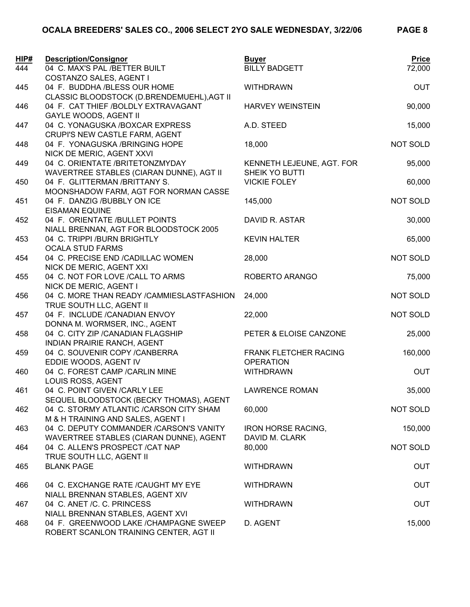| HIP# | <b>Description/Consignor</b>                                                    | <b>Buyer</b>                                     | <b>Price</b>    |
|------|---------------------------------------------------------------------------------|--------------------------------------------------|-----------------|
| 444  | 04 C. MAX'S PAL /BETTER BUILT<br>COSTANZO SALES, AGENT I                        | <b>BILLY BADGETT</b>                             | 72,000          |
| 445  | 04 F. BUDDHA /BLESS OUR HOME                                                    | <b>WITHDRAWN</b>                                 | <b>OUT</b>      |
|      | CLASSIC BLOODSTOCK (D.BRENDEMUEHL), AGT II                                      |                                                  |                 |
| 446  | 04 F. CAT THIEF /BOLDLY EXTRAVAGANT<br><b>GAYLE WOODS, AGENT II</b>             | <b>HARVEY WEINSTEIN</b>                          | 90,000          |
| 447  | 04 C. YONAGUSKA /BOXCAR EXPRESS                                                 | A.D. STEED                                       | 15,000          |
|      | CRUPI'S NEW CASTLE FARM, AGENT                                                  |                                                  |                 |
| 448  | 04 F. YONAGUSKA /BRINGING HOPE<br>NICK DE MERIC, AGENT XXVI                     | 18,000                                           | NOT SOLD        |
| 449  | 04 C. ORIENTATE /BRITETONZMYDAY                                                 | KENNETH LEJEUNE, AGT. FOR                        | 95,000          |
|      | WAVERTREE STABLES (CIARAN DUNNE), AGT II                                        | SHEIK YO BUTTI                                   |                 |
| 450  | 04 F. GLITTERMAN /BRITTANY S.                                                   | <b>VICKIE FOLEY</b>                              | 60,000          |
|      | MOONSHADOW FARM, AGT FOR NORMAN CASSE                                           |                                                  |                 |
| 451  | 04 F. DANZIG /BUBBLY ON ICE                                                     | 145,000                                          | <b>NOT SOLD</b> |
|      | <b>EISAMAN EQUINE</b>                                                           |                                                  |                 |
| 452  | 04 F. ORIENTATE /BULLET POINTS                                                  | DAVID R. ASTAR                                   | 30,000          |
|      | NIALL BRENNAN, AGT FOR BLOODSTOCK 2005                                          |                                                  |                 |
| 453  | 04 C. TRIPPI /BURN BRIGHTLY<br><b>OCALA STUD FARMS</b>                          | <b>KEVIN HALTER</b>                              | 65,000          |
| 454  | 04 C. PRECISE END /CADILLAC WOMEN                                               | 28,000                                           | <b>NOT SOLD</b> |
|      | NICK DE MERIC, AGENT XXI                                                        |                                                  |                 |
| 455  | 04 C. NOT FOR LOVE / CALL TO ARMS                                               | ROBERTO ARANGO                                   | 75,000          |
|      | NICK DE MERIC, AGENT I                                                          |                                                  |                 |
| 456  | 04 C. MORE THAN READY / CAMMIESLASTFASHION                                      | 24,000                                           | NOT SOLD        |
|      | TRUE SOUTH LLC, AGENT II                                                        |                                                  |                 |
| 457  | 04 F. INCLUDE /CANADIAN ENVOY                                                   | 22,000                                           | NOT SOLD        |
|      | DONNA M. WORMSER, INC., AGENT                                                   |                                                  |                 |
| 458  | 04 C. CITY ZIP / CANADIAN FLAGSHIP                                              | PETER & ELOISE CANZONE                           | 25,000          |
|      | INDIAN PRAIRIE RANCH, AGENT                                                     |                                                  |                 |
| 459  | 04 C. SOUVENIR COPY / CANBERRA<br>EDDIE WOODS, AGENT IV                         | <b>FRANK FLETCHER RACING</b><br><b>OPERATION</b> | 160,000         |
| 460  | 04 C. FOREST CAMP / CARLIN MINE                                                 | <b>WITHDRAWN</b>                                 | <b>OUT</b>      |
|      | LOUIS ROSS, AGENT                                                               |                                                  |                 |
| 461  | 04 C. POINT GIVEN / CARLY LEE                                                   | <b>LAWRENCE ROMAN</b>                            | 35,000          |
|      | SEQUEL BLOODSTOCK (BECKY THOMAS), AGENT                                         |                                                  |                 |
| 462  | 04 C. STORMY ATLANTIC / CARSON CITY SHAM                                        | 60,000                                           | NOT SOLD        |
|      | M & H TRAINING AND SALES, AGENT I                                               |                                                  |                 |
| 463  | 04 C. DEPUTY COMMANDER / CARSON'S VANITY                                        | <b>IRON HORSE RACING,</b>                        | 150,000         |
|      | WAVERTREE STABLES (CIARAN DUNNE), AGENT                                         | DAVID M. CLARK                                   |                 |
| 464  | 04 C. ALLEN'S PROSPECT / CAT NAP                                                | 80,000                                           | NOT SOLD        |
|      | TRUE SOUTH LLC, AGENT II<br><b>BLANK PAGE</b>                                   |                                                  | <b>OUT</b>      |
| 465  |                                                                                 | <b>WITHDRAWN</b>                                 |                 |
| 466  | 04 C. EXCHANGE RATE /CAUGHT MY EYE                                              | <b>WITHDRAWN</b>                                 | <b>OUT</b>      |
|      | NIALL BRENNAN STABLES, AGENT XIV                                                |                                                  |                 |
| 467  | 04 C. ANET /C. C. PRINCESS                                                      | <b>WITHDRAWN</b>                                 | <b>OUT</b>      |
|      | NIALL BRENNAN STABLES, AGENT XVI                                                |                                                  |                 |
| 468  | 04 F. GREENWOOD LAKE /CHAMPAGNE SWEEP<br>ROBERT SCANLON TRAINING CENTER, AGT II | D. AGENT                                         | 15,000          |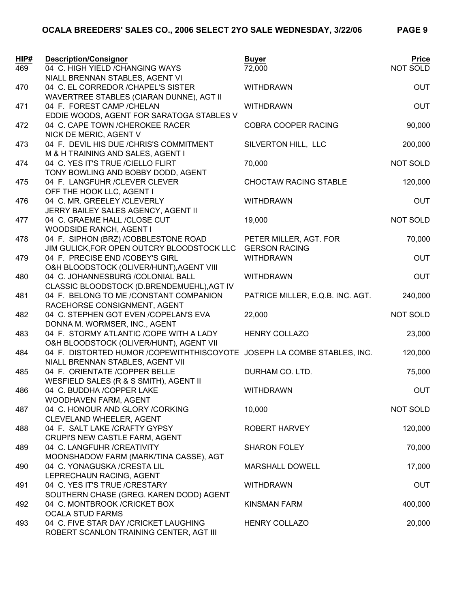| HIP#<br>469 | <b>Description/Consignor</b><br>04 C. HIGH YIELD / CHANGING WAYS         | <b>Buyer</b><br>72,000           | <b>Price</b><br>NOT SOLD |
|-------------|--------------------------------------------------------------------------|----------------------------------|--------------------------|
|             | NIALL BRENNAN STABLES, AGENT VI                                          |                                  |                          |
| 470         | 04 C. EL CORREDOR / CHAPEL'S SISTER                                      | <b>WITHDRAWN</b>                 | <b>OUT</b>               |
|             | WAVERTREE STABLES (CIARAN DUNNE), AGT II                                 |                                  |                          |
| 471         | 04 F. FOREST CAMP / CHELAN                                               | <b>WITHDRAWN</b>                 | <b>OUT</b>               |
|             | EDDIE WOODS, AGENT FOR SARATOGA STABLES V                                |                                  |                          |
| 472         | 04 C. CAPE TOWN / CHEROKEE RACER                                         | COBRA COOPER RACING              | 90,000                   |
|             | NICK DE MERIC, AGENT V                                                   |                                  |                          |
| 473         | 04 F. DEVIL HIS DUE /CHRIS'S COMMITMENT                                  | SILVERTON HILL, LLC              | 200,000                  |
|             | M & H TRAINING AND SALES, AGENT I                                        |                                  |                          |
| 474         | 04 C. YES IT'S TRUE /CIELLO FLIRT                                        | 70,000                           | NOT SOLD                 |
|             | TONY BOWLING AND BOBBY DODD, AGENT                                       |                                  |                          |
| 475         | 04 F. LANGFUHR / CLEVER CLEVER                                           | <b>CHOCTAW RACING STABLE</b>     | 120,000                  |
| 476         | OFF THE HOOK LLC, AGENT I<br>04 C. MR. GREELEY /CLEVERLY                 | <b>WITHDRAWN</b>                 | <b>OUT</b>               |
|             | JERRY BAILEY SALES AGENCY, AGENT II                                      |                                  |                          |
| 477         | 04 C. GRAEME HALL /CLOSE CUT                                             | 19,000                           | NOT SOLD                 |
|             | WOODSIDE RANCH, AGENT I                                                  |                                  |                          |
| 478         | 04 F. SIPHON (BRZ) /COBBLESTONE ROAD                                     | PETER MILLER, AGT. FOR           | 70,000                   |
|             | JIM GULICK, FOR OPEN OUTCRY BLOODSTOCK LLC                               | <b>GERSON RACING</b>             |                          |
| 479         | 04 F. PRECISE END /COBEY'S GIRL                                          | <b>WITHDRAWN</b>                 | <b>OUT</b>               |
|             | O&H BLOODSTOCK (OLIVER/HUNT), AGENT VIII                                 |                                  |                          |
| 480         | 04 C. JOHANNESBURG /COLONIAL BALL                                        | <b>WITHDRAWN</b>                 | <b>OUT</b>               |
|             | CLASSIC BLOODSTOCK (D.BRENDEMUEHL), AGT IV                               |                                  |                          |
| 481         | 04 F. BELONG TO ME /CONSTANT COMPANION                                   | PATRICE MILLER, E.Q.B. INC. AGT. | 240,000                  |
|             | RACEHORSE CONSIGNMENT, AGENT                                             |                                  |                          |
| 482         | 04 C. STEPHEN GOT EVEN /COPELAN'S EVA                                    | 22,000                           | NOT SOLD                 |
|             | DONNA M. WORMSER, INC., AGENT                                            |                                  |                          |
| 483         | 04 F. STORMY ATLANTIC /COPE WITH A LADY                                  | <b>HENRY COLLAZO</b>             | 23,000                   |
|             | O&H BLOODSTOCK (OLIVER/HUNT), AGENT VII                                  |                                  |                          |
| 484         | 04 F. DISTORTED HUMOR / COPEWITHTHISCOYOTE JOSEPH LA COMBE STABLES, INC. |                                  | 120,000                  |
| 485         | NIALL BRENNAN STABLES, AGENT VII<br>04 F. ORIENTATE /COPPER BELLE        | DURHAM CO. LTD.                  | 75,000                   |
|             | WESFIELD SALES (R & S SMITH), AGENT II                                   |                                  |                          |
| 486         | 04 C. BUDDHA /COPPER LAKE                                                | <b>WITHDRAWN</b>                 | <b>OUT</b>               |
|             | WOODHAVEN FARM, AGENT                                                    |                                  |                          |
| 487         | 04 C. HONOUR AND GLORY /CORKING                                          | 10,000                           | NOT SOLD                 |
|             | CLEVELAND WHEELER, AGENT                                                 |                                  |                          |
| 488         | 04 F. SALT LAKE / CRAFTY GYPSY                                           | <b>ROBERT HARVEY</b>             | 120,000                  |
|             | CRUPI'S NEW CASTLE FARM, AGENT                                           |                                  |                          |
| 489         | 04 C. LANGFUHR / CREATIVITY                                              | <b>SHARON FOLEY</b>              | 70,000                   |
|             | MOONSHADOW FARM (MARK/TINA CASSE), AGT                                   |                                  |                          |
| 490         | 04 C. YONAGUSKA / CRESTA LIL                                             | <b>MARSHALL DOWELL</b>           | 17,000                   |
|             | LEPRECHAUN RACING, AGENT                                                 |                                  |                          |
| 491         | 04 C. YES IT'S TRUE /CRESTARY                                            | <b>WITHDRAWN</b>                 | <b>OUT</b>               |
|             | SOUTHERN CHASE (GREG. KAREN DODD) AGENT                                  |                                  |                          |
| 492         | 04 C. MONTBROOK / CRICKET BOX                                            | <b>KINSMAN FARM</b>              | 400,000                  |
| 493         | <b>OCALA STUD FARMS</b><br>04 C. FIVE STAR DAY / CRICKET LAUGHING        | <b>HENRY COLLAZO</b>             | 20,000                   |
|             | ROBERT SCANLON TRAINING CENTER, AGT III                                  |                                  |                          |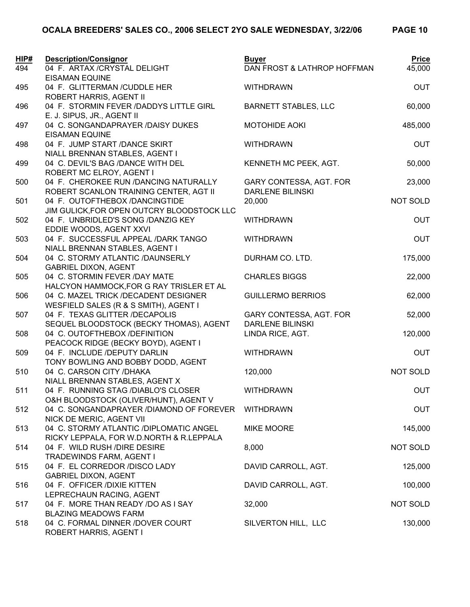| HIP# | <b>Description/Consignor</b>                                         | <b>Buyer</b>                | <b>Price</b> |
|------|----------------------------------------------------------------------|-----------------------------|--------------|
| 494  | 04 F. ARTAX /CRYSTAL DELIGHT                                         | DAN FROST & LATHROP HOFFMAN | 45,000       |
|      | <b>EISAMAN EQUINE</b>                                                |                             |              |
| 495  | 04 F. GLITTERMAN /CUDDLE HER                                         | <b>WITHDRAWN</b>            | <b>OUT</b>   |
|      | ROBERT HARRIS, AGENT II                                              |                             |              |
| 496  | 04 F. STORMIN FEVER /DADDYS LITTLE GIRL                              | <b>BARNETT STABLES, LLC</b> | 60,000       |
|      | E. J. SIPUS, JR., AGENT II                                           |                             |              |
| 497  | 04 C. SONGANDAPRAYER /DAISY DUKES<br><b>EISAMAN EQUINE</b>           | <b>MOTOHIDE AOKI</b>        | 485,000      |
| 498  | 04 F. JUMP START /DANCE SKIRT                                        | <b>WITHDRAWN</b>            | <b>OUT</b>   |
|      | NIALL BRENNAN STABLES, AGENT I                                       |                             |              |
| 499  | 04 C. DEVIL'S BAG /DANCE WITH DEL                                    | KENNETH MC PEEK, AGT.       | 50,000       |
|      | ROBERT MC ELROY, AGENT I                                             |                             |              |
| 500  | 04 F. CHEROKEE RUN /DANCING NATURALLY                                | GARY CONTESSA, AGT. FOR     | 23,000       |
|      | ROBERT SCANLON TRAINING CENTER, AGT II                               | <b>DARLENE BILINSKI</b>     |              |
| 501  | 04 F. OUTOFTHEBOX /DANCINGTIDE                                       | 20,000                      | NOT SOLD     |
|      | JIM GULICK, FOR OPEN OUTCRY BLOODSTOCK LLC                           |                             |              |
| 502  | 04 F. UNBRIDLED'S SONG /DANZIG KEY                                   | <b>WITHDRAWN</b>            | <b>OUT</b>   |
|      | EDDIE WOODS, AGENT XXVI                                              |                             |              |
| 503  | 04 F. SUCCESSFUL APPEAL /DARK TANGO                                  | <b>WITHDRAWN</b>            | <b>OUT</b>   |
|      | NIALL BRENNAN STABLES, AGENT I                                       |                             |              |
| 504  | 04 C. STORMY ATLANTIC /DAUNSERLY                                     | DURHAM CO. LTD.             | 175,000      |
|      | <b>GABRIEL DIXON, AGENT</b>                                          |                             |              |
| 505  | 04 C. STORMIN FEVER /DAY MATE                                        | <b>CHARLES BIGGS</b>        | 22,000       |
|      | HALCYON HAMMOCK, FOR G RAY TRISLER ET AL                             |                             |              |
| 506  | 04 C. MAZEL TRICK /DECADENT DESIGNER                                 | <b>GUILLERMO BERRIOS</b>    | 62,000       |
|      | WESFIELD SALES (R & S SMITH), AGENT I                                |                             |              |
| 507  | 04 F. TEXAS GLITTER /DECAPOLIS                                       | GARY CONTESSA, AGT. FOR     | 52,000       |
|      | SEQUEL BLOODSTOCK (BECKY THOMAS), AGENT                              | <b>DARLENE BILINSKI</b>     |              |
| 508  | 04 C. OUTOFTHEBOX /DEFINITION<br>PEACOCK RIDGE (BECKY BOYD), AGENT I | LINDA RICE, AGT.            | 120,000      |
| 509  | 04 F. INCLUDE /DEPUTY DARLIN                                         | <b>WITHDRAWN</b>            | <b>OUT</b>   |
|      | TONY BOWLING AND BOBBY DODD, AGENT                                   |                             |              |
| 510  | 04 C. CARSON CITY / DHAKA                                            | 120,000                     | NOT SOLD     |
|      | NIALL BRENNAN STABLES, AGENT X                                       |                             |              |
| 511  | 04 F. RUNNING STAG /DIABLO'S CLOSER                                  | <b>WITHDRAWN</b>            | <b>OUT</b>   |
|      | O&H BLOODSTOCK (OLIVER/HUNT), AGENT V                                |                             |              |
| 512  | 04 C. SONGANDAPRAYER /DIAMOND OF FOREVER                             | <b>WITHDRAWN</b>            | <b>OUT</b>   |
|      | NICK DE MERIC, AGENT VII                                             |                             |              |
| 513  | 04 C. STORMY ATLANTIC /DIPLOMATIC ANGEL                              | <b>MIKE MOORE</b>           | 145,000      |
|      | RICKY LEPPALA, FOR W.D.NORTH & R.LEPPALA                             |                             |              |
| 514  | 04 F. WILD RUSH / DIRE DESIRE                                        | 8,000                       | NOT SOLD     |
|      | TRADEWINDS FARM, AGENT I                                             |                             |              |
| 515  | 04 F. EL CORREDOR /DISCO LADY                                        | DAVID CARROLL, AGT.         | 125,000      |
|      | <b>GABRIEL DIXON, AGENT</b>                                          |                             |              |
| 516  | 04 F. OFFICER /DIXIE KITTEN                                          | DAVID CARROLL, AGT.         | 100,000      |
|      | LEPRECHAUN RACING, AGENT                                             |                             |              |
| 517  | 04 F. MORE THAN READY /DO AS I SAY<br><b>BLAZING MEADOWS FARM</b>    | 32,000                      | NOT SOLD     |
| 518  | 04 C. FORMAL DINNER /DOVER COURT                                     | SILVERTON HILL, LLC         | 130,000      |
|      | ROBERT HARRIS, AGENT I                                               |                             |              |